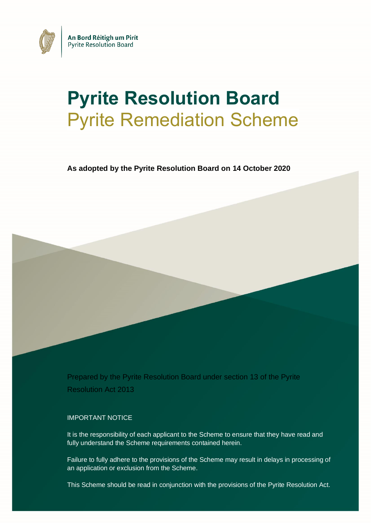# **Pyrite Resolution Board** Pyrite Remediation Scheme

**As adopted by the Pyrite Resolution Board on 14 October 2020**

Prepared by the Pyrite Resolution Board under section 13 of the Pyrite Resolution Act 2013

#### IMPORTANT NOTICE

It is the responsibility of each applicant to the Scheme to ensure that they have read and fully understand the Scheme requirements contained herein.

Failure to fully adhere to the provisions of the Scheme may result in delays in processing of an application or exclusion from the Scheme.

This Scheme should be read in conjunction with the provisions of the Pyrite Resolution Act.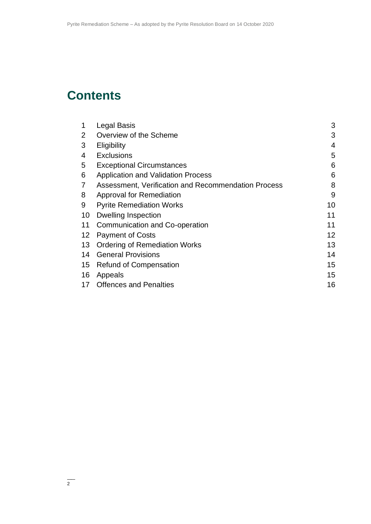## **Contents**

| 1              | Legal Basis                                         | 3  |
|----------------|-----------------------------------------------------|----|
| $\overline{2}$ | Overview of the Scheme                              | 3  |
| 3              | Eligibility                                         | 4  |
| 4              | <b>Exclusions</b>                                   | 5  |
| 5              | <b>Exceptional Circumstances</b>                    | 6  |
| 6              | <b>Application and Validation Process</b>           | 6  |
| 7              | Assessment, Verification and Recommendation Process | 8  |
| 8              | <b>Approval for Remediation</b>                     | 9  |
| 9              | <b>Pyrite Remediation Works</b>                     | 10 |
| 10             | <b>Dwelling Inspection</b>                          | 11 |
| 11             | Communication and Co-operation                      | 11 |
| 12             | <b>Payment of Costs</b>                             | 12 |
| 13             | <b>Ordering of Remediation Works</b>                | 13 |
| 14             | <b>General Provisions</b>                           | 14 |
| 15             | <b>Refund of Compensation</b>                       | 15 |
| 16             | Appeals                                             | 15 |
| 17             | <b>Offences and Penalties</b>                       | 16 |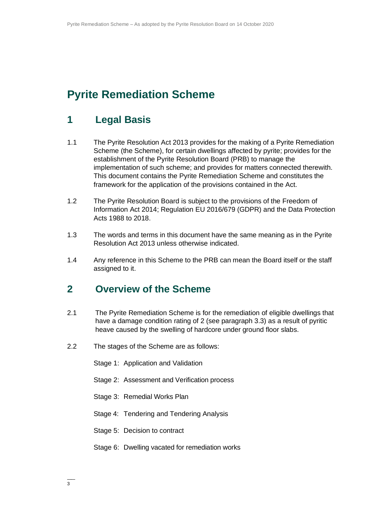## **Pyrite Remediation Scheme**

#### <span id="page-2-0"></span>**1 Legal Basis**

- 1.1 The Pyrite Resolution Act 2013 provides for the making of a Pyrite Remediation Scheme (the Scheme), for certain dwellings affected by pyrite; provides for the establishment of the Pyrite Resolution Board (PRB) to manage the implementation of such scheme; and provides for matters connected therewith. This document contains the Pyrite Remediation Scheme and constitutes the framework for the application of the provisions contained in the Act.
- 1.2 The Pyrite Resolution Board is subject to the provisions of the Freedom of Information Act 2014; Regulation EU 2016/679 (GDPR) and the Data Protection Acts 1988 to 2018.
- 1.3 The words and terms in this document have the same meaning as in the Pyrite Resolution Act 2013 unless otherwise indicated.
- 1.4 Any reference in this Scheme to the PRB can mean the Board itself or the staff assigned to it.

#### <span id="page-2-1"></span>**2 Overview of the Scheme**

- 2.1 The Pyrite Remediation Scheme is for the remediation of eligible dwellings that have a damage condition rating of 2 (see paragraph 3.3) as a result of pyritic heave caused by the swelling of hardcore under ground floor slabs.
- 2.2 The stages of the Scheme are as follows:
	- Stage 1: Application and Validation
	- Stage 2: Assessment and Verification process
	- Stage 3: Remedial Works Plan
	- Stage 4: Tendering and Tendering Analysis
	- Stage 5: Decision to contract
	- Stage 6: Dwelling vacated for remediation works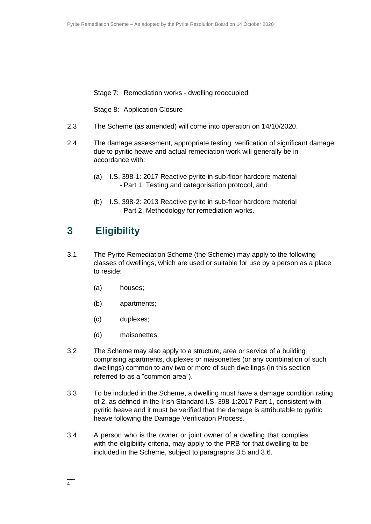Stage 7: Remediation works - dwelling reoccupied

Stage 8: Application Closure

- 2.3 The Scheme (as amended) will come into operation on 14/10/2020.
- 2.4 The damage assessment, appropriate testing, verification of significant damage due to pyritic heave and actual remediation work will generally be in accordance with:
	- (a) I.S. 398-1: 2017 Reactive pyrite in sub-floor hardcore material - Part 1: Testing and categorisation protocol, and
	- (b) I.S. 398-2: 2013 Reactive pyrite in sub-floor hardcore material - Part 2: Methodology for remediation works.

#### <span id="page-3-0"></span>**3 Eligibility**

- 3.1 The Pyrite Remediation Scheme (the Scheme) may apply to the following classes of dwellings, which are used or suitable for use by a person as a place to reside:
	- (a) houses;
	- (b) apartments;
	- (c) duplexes;
	- (d) maisonettes.
- 3.2 The Scheme may also apply to a structure, area or service of a building comprising apartments, duplexes or maisonettes (or any combination of such dwellings) common to any two or more of such dwellings (in this section referred to as a "common area").
- 3.3 To be included in the Scheme, a dwelling must have a damage condition rating of 2, as defined in the Irish Standard I.S. 398-1:2017 Part 1, consistent with pyritic heave and it must be verified that the damage is attributable to pyritic heave following the Damage Verification Process.
- 3.4 A person who is the owner or joint owner of a dwelling that complies with the eligibility criteria, may apply to the PRB for that dwelling to be included in the Scheme, subject to paragraphs 3.5 and 3.6.

 $\frac{1}{4}$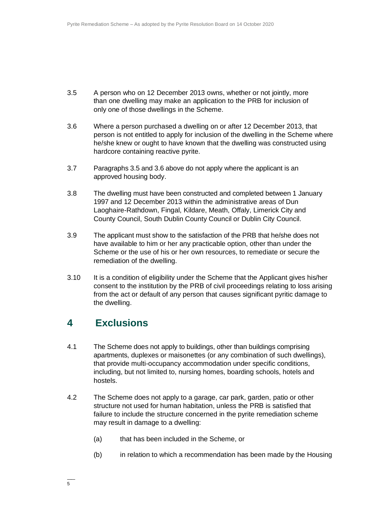- 3.5 A person who on 12 December 2013 owns, whether or not jointly, more than one dwelling may make an application to the PRB for inclusion of only one of those dwellings in the Scheme.
- 3.6 Where a person purchased a dwelling on or after 12 December 2013, that person is not entitled to apply for inclusion of the dwelling in the Scheme where he/she knew or ought to have known that the dwelling was constructed using hardcore containing reactive pyrite.
- 3.7 Paragraphs 3.5 and 3.6 above do not apply where the applicant is an approved housing body.
- 3.8 The dwelling must have been constructed and completed between 1 January 1997 and 12 December 2013 within the administrative areas of Dun Laoghaire-Rathdown, Fingal, Kildare, Meath, Offaly, Limerick City and County Council, South Dublin County Council or Dublin City Council.
- 3.9 The applicant must show to the satisfaction of the PRB that he/she does not have available to him or her any practicable option, other than under the Scheme or the use of his or her own resources, to remediate or secure the remediation of the dwelling.
- 3.10 It is a condition of eligibility under the Scheme that the Applicant gives his/her consent to the institution by the PRB of civil proceedings relating to loss arising from the act or default of any person that causes significant pyritic damage to the dwelling.

#### <span id="page-4-0"></span>**4 Exclusions**

- 4.1 The Scheme does not apply to buildings, other than buildings comprising apartments, duplexes or maisonettes (or any combination of such dwellings), that provide multi-occupancy accommodation under specific conditions, including, but not limited to, nursing homes, boarding schools, hotels and hostels.
- 4.2 The Scheme does not apply to a garage, car park, garden, patio or other structure not used for human habitation, unless the PRB is satisfied that failure to include the structure concerned in the pyrite remediation scheme may result in damage to a dwelling:
	- (a) that has been included in the Scheme, or
	- (b) in relation to which a recommendation has been made by the Housing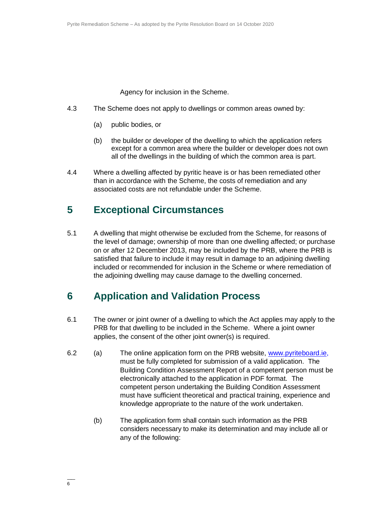Agency for inclusion in the Scheme.

- 4.3 The Scheme does not apply to dwellings or common areas owned by:
	- (a) public bodies, or
	- (b) the builder or developer of the dwelling to which the application refers except for a common area where the builder or developer does not own all of the dwellings in the building of which the common area is part.
- 4.4 Where a dwelling affected by pyritic heave is or has been remediated other than in accordance with the Scheme, the costs of remediation and any associated costs are not refundable under the Scheme.

#### <span id="page-5-0"></span>**5 Exceptional Circumstances**

5.1 A dwelling that might otherwise be excluded from the Scheme, for reasons of the level of damage; ownership of more than one dwelling affected; or purchase on or after 12 December 2013, may be included by the PRB, where the PRB is satisfied that failure to include it may result in damage to an adjoining dwelling included or recommended for inclusion in the Scheme or where remediation of the adjoining dwelling may cause damage to the dwelling concerned.

#### <span id="page-5-1"></span>**6 Application and Validation Process**

- 6.1 The owner or joint owner of a dwelling to which the Act applies may apply to the PRB for that dwelling to be included in the Scheme. Where a joint owner applies, the consent of the other joint owner(s) is required.
- 6.2 (a) The online application form on the PRB website, [www.pyriteboard.ie,](http://www.pyriteboard.ie/) must be fully completed for submission of a valid application. The Building Condition Assessment Report of a competent person must be electronically attached to the application in PDF format. The competent person undertaking the Building Condition Assessment must have sufficient theoretical and practical training, experience and knowledge appropriate to the nature of the work undertaken.
	- (b) The application form shall contain such information as the PRB considers necessary to make its determination and may include all or any of the following: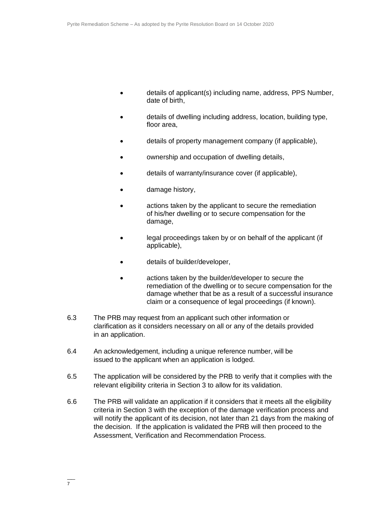- details of applicant(s) including name, address, PPS Number, date of birth,
- details of dwelling including address, location, building type, floor area,
- details of property management company (if applicable),
- ownership and occupation of dwelling details,
- details of warranty/insurance cover (if applicable),
- damage history,
- actions taken by the applicant to secure the remediation of his/her dwelling or to secure compensation for the damage,
- legal proceedings taken by or on behalf of the applicant (if applicable),
- details of builder/developer,
- actions taken by the builder/developer to secure the remediation of the dwelling or to secure compensation for the damage whether that be as a result of a successful insurance claim or a consequence of legal proceedings (if known).
- 6.3 The PRB may request from an applicant such other information or clarification as it considers necessary on all or any of the details provided in an application.
- 6.4 An acknowledgement, including a unique reference number, will be issued to the applicant when an application is lodged.
- 6.5 The application will be considered by the PRB to verify that it complies with the relevant eligibility criteria in Section 3 to allow for its validation.
- 6.6 The PRB will validate an application if it considers that it meets all the eligibility criteria in Section 3 with the exception of the damage verification process and will notify the applicant of its decision, not later than 21 days from the making of the decision. If the application is validated the PRB will then proceed to the Assessment, Verification and Recommendation Process.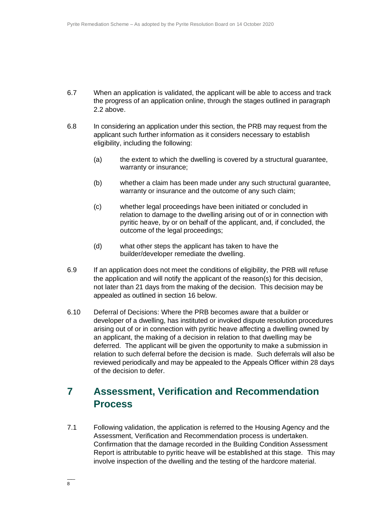- 6.7 When an application is validated, the applicant will be able to access and track the progress of an application online, through the stages outlined in paragraph 2.2 above.
- 6.8 In considering an application under this section, the PRB may request from the applicant such further information as it considers necessary to establish eligibility, including the following:
	- (a) the extent to which the dwelling is covered by a structural guarantee, warranty or insurance;
	- (b) whether a claim has been made under any such structural guarantee, warranty or insurance and the outcome of any such claim;
	- (c) whether legal proceedings have been initiated or concluded in relation to damage to the dwelling arising out of or in connection with pyritic heave, by or on behalf of the applicant, and, if concluded, the outcome of the legal proceedings;
	- (d) what other steps the applicant has taken to have the builder/developer remediate the dwelling.
- 6.9 If an application does not meet the conditions of eligibility, the PRB will refuse the application and will notify the applicant of the reason(s) for this decision, not later than 21 days from the making of the decision. This decision may be appealed as outlined in section 16 below.
- 6.10 Deferral of Decisions: Where the PRB becomes aware that a builder or developer of a dwelling, has instituted or invoked dispute resolution procedures arising out of or in connection with pyritic heave affecting a dwelling owned by an applicant, the making of a decision in relation to that dwelling may be deferred. The applicant will be given the opportunity to make a submission in relation to such deferral before the decision is made. Such deferrals will also be reviewed periodically and may be appealed to the Appeals Officer within 28 days of the decision to defer.

### <span id="page-7-0"></span>**7 Assessment, Verification and Recommendation Process**

7.1 Following validation, the application is referred to the Housing Agency and the Assessment, Verification and Recommendation process is undertaken. Confirmation that the damage recorded in the Building Condition Assessment Report is attributable to pyritic heave will be established at this stage. This may involve inspection of the dwelling and the testing of the hardcore material.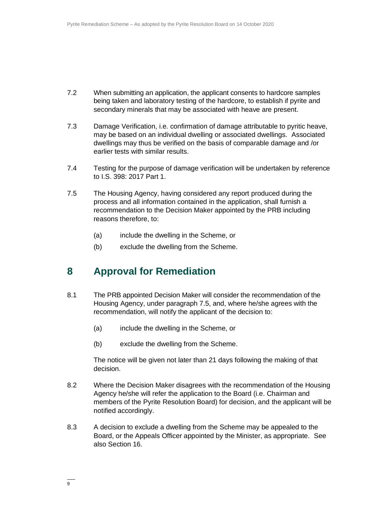- 7.2 When submitting an application, the applicant consents to hardcore samples being taken and laboratory testing of the hardcore, to establish if pyrite and secondary minerals that may be associated with heave are present.
- 7.3 Damage Verification, i.e. confirmation of damage attributable to pyritic heave, may be based on an individual dwelling or associated dwellings. Associated dwellings may thus be verified on the basis of comparable damage and /or earlier tests with similar results.
- 7.4 Testing for the purpose of damage verification will be undertaken by reference to I.S. 398: 2017 Part 1.
- 7.5 The Housing Agency, having considered any report produced during the process and all information contained in the application, shall furnish a recommendation to the Decision Maker appointed by the PRB including reasons therefore, to:
	- (a) include the dwelling in the Scheme, or
	- (b) exclude the dwelling from the Scheme.

#### <span id="page-8-0"></span>**8 Approval for Remediation**

- 8.1 The PRB appointed Decision Maker will consider the recommendation of the Housing Agency, under paragraph 7.5, and, where he/she agrees with the recommendation, will notify the applicant of the decision to:
	- (a) include the dwelling in the Scheme, or
	- (b) exclude the dwelling from the Scheme.

The notice will be given not later than 21 days following the making of that decision.

- 8.2 Where the Decision Maker disagrees with the recommendation of the Housing Agency he/she will refer the application to the Board (i.e. Chairman and members of the Pyrite Resolution Board) for decision, and the applicant will be notified accordingly.
- 8.3 A decision to exclude a dwelling from the Scheme may be appealed to the Board, or the Appeals Officer appointed by the Minister, as appropriate. See also Section 16.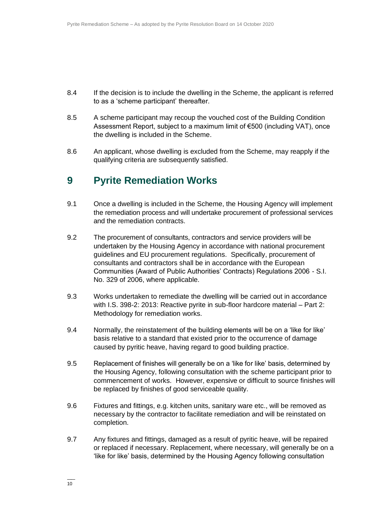- 8.4 If the decision is to include the dwelling in the Scheme, the applicant is referred to as a 'scheme participant' thereafter.
- 8.5 A scheme participant may recoup the vouched cost of the Building Condition Assessment Report, subject to a maximum limit of €500 (including VAT), once the dwelling is included in the Scheme.
- 8.6 An applicant, whose dwelling is excluded from the Scheme, may reapply if the qualifying criteria are subsequently satisfied.

#### <span id="page-9-0"></span>**9 Pyrite Remediation Works**

- 9.1 Once a dwelling is included in the Scheme, the Housing Agency will implement the remediation process and will undertake procurement of professional services and the remediation contracts.
- 9.2 The procurement of consultants, contractors and service providers will be undertaken by the Housing Agency in accordance with national procurement guidelines and EU procurement regulations. Specifically, procurement of consultants and contractors shall be in accordance with the European Communities (Award of Public Authorities' Contracts) Regulations 2006 - S.I. No. 329 of 2006, where applicable.
- 9.3 Works undertaken to remediate the dwelling will be carried out in accordance with I.S. 398-2: 2013: Reactive pyrite in sub-floor hardcore material – Part 2: Methodology for remediation works.
- 9.4 Normally, the reinstatement of the building elements will be on a 'like for like' basis relative to a standard that existed prior to the occurrence of damage caused by pyritic heave, having regard to good building practice.
- 9.5 Replacement of finishes will generally be on a 'like for like' basis, determined by the Housing Agency, following consultation with the scheme participant prior to commencement of works. However, expensive or difficult to source finishes will be replaced by finishes of good serviceable quality.
- 9.6 Fixtures and fittings, e.g. kitchen units, sanitary ware etc., will be removed as necessary by the contractor to facilitate remediation and will be reinstated on completion.
- 9.7 Any fixtures and fittings, damaged as a result of pyritic heave, will be repaired or replaced if necessary. Replacement, where necessary, will generally be on a 'like for like' basis, determined by the Housing Agency following consultation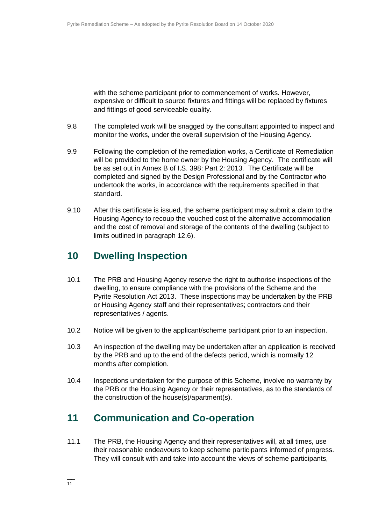with the scheme participant prior to commencement of works. However, expensive or difficult to source fixtures and fittings will be replaced by fixtures and fittings of good serviceable quality.

- 9.8 The completed work will be snagged by the consultant appointed to inspect and monitor the works, under the overall supervision of the Housing Agency.
- 9.9 Following the completion of the remediation works, a Certificate of Remediation will be provided to the home owner by the Housing Agency. The certificate will be as set out in Annex B of I.S. 398: Part 2: 2013. The Certificate will be completed and signed by the Design Professional and by the Contractor who undertook the works, in accordance with the requirements specified in that standard.
- 9.10 After this certificate is issued, the scheme participant may submit a claim to the Housing Agency to recoup the vouched cost of the alternative accommodation and the cost of removal and storage of the contents of the dwelling (subject to limits outlined in paragraph 12.6).

#### <span id="page-10-0"></span>**10 Dwelling Inspection**

- 10.1 The PRB and Housing Agency reserve the right to authorise inspections of the dwelling, to ensure compliance with the provisions of the Scheme and the Pyrite Resolution Act 2013. These inspections may be undertaken by the PRB or Housing Agency staff and their representatives; contractors and their representatives / agents.
- 10.2 Notice will be given to the applicant/scheme participant prior to an inspection.
- 10.3 An inspection of the dwelling may be undertaken after an application is received by the PRB and up to the end of the defects period, which is normally 12 months after completion.
- 10.4 Inspections undertaken for the purpose of this Scheme, involve no warranty by the PRB or the Housing Agency or their representatives, as to the standards of the construction of the house(s)/apartment(s).

#### <span id="page-10-1"></span>**11 Communication and Co-operation**

11.1 The PRB, the Housing Agency and their representatives will, at all times, use their reasonable endeavours to keep scheme participants informed of progress. They will consult with and take into account the views of scheme participants,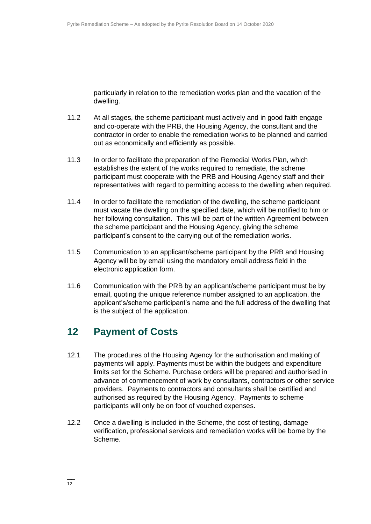particularly in relation to the remediation works plan and the vacation of the dwelling.

- 11.2 At all stages, the scheme participant must actively and in good faith engage and co-operate with the PRB, the Housing Agency, the consultant and the contractor in order to enable the remediation works to be planned and carried out as economically and efficiently as possible.
- 11.3 In order to facilitate the preparation of the Remedial Works Plan, which establishes the extent of the works required to remediate, the scheme participant must cooperate with the PRB and Housing Agency staff and their representatives with regard to permitting access to the dwelling when required.
- 11.4 In order to facilitate the remediation of the dwelling, the scheme participant must vacate the dwelling on the specified date, which will be notified to him or her following consultation. This will be part of the written Agreement between the scheme participant and the Housing Agency, giving the scheme participant's consent to the carrying out of the remediation works.
- 11.5 Communication to an applicant/scheme participant by the PRB and Housing Agency will be by email using the mandatory email address field in the electronic application form.
- 11.6 Communication with the PRB by an applicant/scheme participant must be by email, quoting the unique reference number assigned to an application, the applicant's/scheme participant's name and the full address of the dwelling that is the subject of the application.

#### <span id="page-11-0"></span>**12 Payment of Costs**

- 12.1 The procedures of the Housing Agency for the authorisation and making of payments will apply. Payments must be within the budgets and expenditure limits set for the Scheme. Purchase orders will be prepared and authorised in advance of commencement of work by consultants, contractors or other service providers. Payments to contractors and consultants shall be certified and authorised as required by the Housing Agency. Payments to scheme participants will only be on foot of vouched expenses.
- 12.2 Once a dwelling is included in the Scheme, the cost of testing, damage verification, professional services and remediation works will be borne by the Scheme.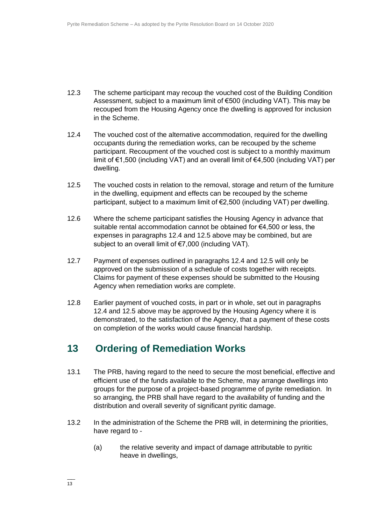- 12.3 The scheme participant may recoup the vouched cost of the Building Condition Assessment, subject to a maximum limit of €500 (including VAT). This may be recouped from the Housing Agency once the dwelling is approved for inclusion in the Scheme.
- 12.4 The vouched cost of the alternative accommodation, required for the dwelling occupants during the remediation works, can be recouped by the scheme participant. Recoupment of the vouched cost is subject to a monthly maximum limit of €1,500 (including VAT) and an overall limit of €4,500 (including VAT) per dwelling.
- 12.5 The vouched costs in relation to the removal, storage and return of the furniture in the dwelling, equipment and effects can be recouped by the scheme participant, subject to a maximum limit of  $\epsilon$ 2,500 (including VAT) per dwelling.
- 12.6 Where the scheme participant satisfies the Housing Agency in advance that suitable rental accommodation cannot be obtained for €4,500 or less, the expenses in paragraphs 12.4 and 12.5 above may be combined, but are subject to an overall limit of €7,000 (including VAT).
- 12.7 Payment of expenses outlined in paragraphs 12.4 and 12.5 will only be approved on the submission of a schedule of costs together with receipts. Claims for payment of these expenses should be submitted to the Housing Agency when remediation works are complete.
- 12.8 Earlier payment of vouched costs, in part or in whole, set out in paragraphs 12.4 and 12.5 above may be approved by the Housing Agency where it is demonstrated, to the satisfaction of the Agency, that a payment of these costs on completion of the works would cause financial hardship.

### <span id="page-12-0"></span>**13 Ordering of Remediation Works**

- 13.1 The PRB, having regard to the need to secure the most beneficial, effective and efficient use of the funds available to the Scheme, may arrange dwellings into groups for the purpose of a project-based programme of pyrite remediation. In so arranging, the PRB shall have regard to the availability of funding and the distribution and overall severity of significant pyritic damage.
- 13.2 In the administration of the Scheme the PRB will, in determining the priorities, have regard to -
	- (a) the relative severity and impact of damage attributable to pyritic heave in dwellings,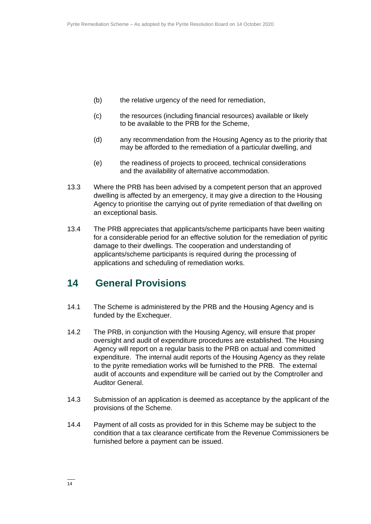- (b) the relative urgency of the need for remediation,
- (c) the resources (including financial resources) available or likely to be available to the PRB for the Scheme,
- (d) any recommendation from the Housing Agency as to the priority that may be afforded to the remediation of a particular dwelling, and
- (e) the readiness of projects to proceed, technical considerations and the availability of alternative accommodation.
- 13.3 Where the PRB has been advised by a competent person that an approved dwelling is affected by an emergency, it may give a direction to the Housing Agency to prioritise the carrying out of pyrite remediation of that dwelling on an exceptional basis.
- 13.4 The PRB appreciates that applicants/scheme participants have been waiting for a considerable period for an effective solution for the remediation of pyritic damage to their dwellings. The cooperation and understanding of applicants/scheme participants is required during the processing of applications and scheduling of remediation works.

#### <span id="page-13-0"></span>**14 General Provisions**

- 14.1 The Scheme is administered by the PRB and the Housing Agency and is funded by the Exchequer.
- 14.2 The PRB, in conjunction with the Housing Agency, will ensure that proper oversight and audit of expenditure procedures are established. The Housing Agency will report on a regular basis to the PRB on actual and committed expenditure. The internal audit reports of the Housing Agency as they relate to the pyrite remediation works will be furnished to the PRB. The external audit of accounts and expenditure will be carried out by the Comptroller and Auditor General.
- 14.3 Submission of an application is deemed as acceptance by the applicant of the provisions of the Scheme.
- 14.4 Payment of all costs as provided for in this Scheme may be subject to the condition that a tax clearance certificate from the Revenue Commissioners be furnished before a payment can be issued.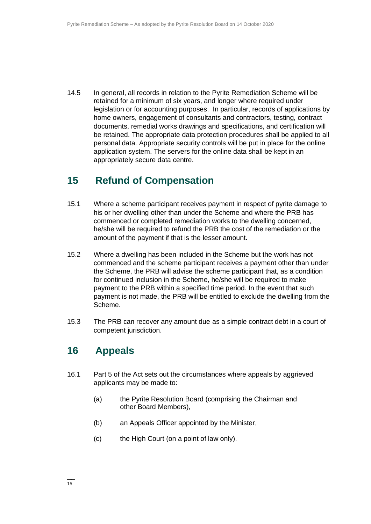14.5 In general, all records in relation to the Pyrite Remediation Scheme will be retained for a minimum of six years, and longer where required under legislation or for accounting purposes. In particular, records of applications by home owners, engagement of consultants and contractors, testing, contract documents, remedial works drawings and specifications, and certification will be retained. The appropriate data protection procedures shall be applied to all personal data. Appropriate security controls will be put in place for the online application system. The servers for the online data shall be kept in an appropriately secure data centre.

#### <span id="page-14-0"></span>**15 Refund of Compensation**

- 15.1 Where a scheme participant receives payment in respect of pyrite damage to his or her dwelling other than under the Scheme and where the PRB has commenced or completed remediation works to the dwelling concerned, he/she will be required to refund the PRB the cost of the remediation or the amount of the payment if that is the lesser amount.
- 15.2 Where a dwelling has been included in the Scheme but the work has not commenced and the scheme participant receives a payment other than under the Scheme, the PRB will advise the scheme participant that, as a condition for continued inclusion in the Scheme, he/she will be required to make payment to the PRB within a specified time period. In the event that such payment is not made, the PRB will be entitled to exclude the dwelling from the Scheme.
- 15.3 The PRB can recover any amount due as a simple contract debt in a court of competent jurisdiction.

#### <span id="page-14-1"></span>**16 Appeals**

- 16.1 Part 5 of the Act sets out the circumstances where appeals by aggrieved applicants may be made to:
	- (a) the Pyrite Resolution Board (comprising the Chairman and other Board Members),
	- (b) an Appeals Officer appointed by the Minister,
	- (c) the High Court (on a point of law only).